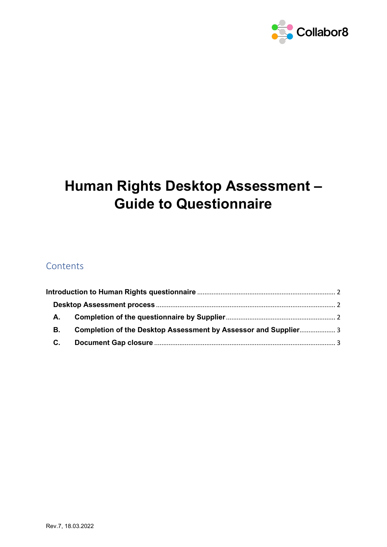

# **Human Rights Desktop Assessment – Guide to Questionnaire**

# Contents

| А. |                                                                 |  |
|----|-----------------------------------------------------------------|--|
| В. | Completion of the Desktop Assessment by Assessor and Supplier 3 |  |
| C. |                                                                 |  |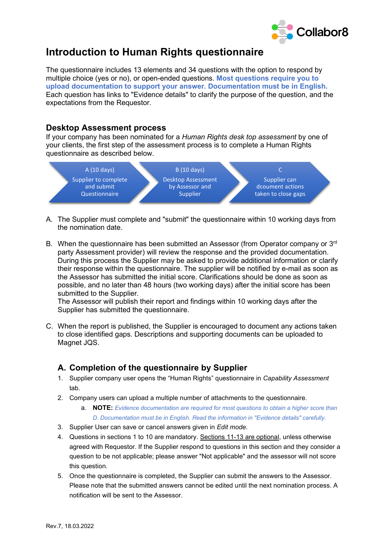

# <span id="page-1-0"></span>**Introduction to Human Rights questionnaire**

The questionnaire includes 13 elements and 34 questions with the option to respond by multiple choice (yes or no), or open-ended questions. **Most questions require you to upload documentation to support your answer. Documentation must be in English.** Each question has links to "Evidence details" to clarify the purpose of the question, and the expectations from the Requestor.

#### <span id="page-1-1"></span>**Desktop Assessment process**

If your company has been nominated for a *Human Rights desk top assessment* by one of your clients, the first step of the assessment process is to complete a Human Rights questionnaire as described below.



- A. The Supplier must complete and "submit" the questionnaire within 10 working days from the nomination date.
- B. When the questionnaire has been submitted an Assessor (from Operator company or  $3<sup>rd</sup>$ party Assessment provider) will review the response and the provided documentation. During this process the Supplier may be asked to provide additional information or clarify their response within the questionnaire. The supplier will be notified by e-mail as soon as the Assessor has submitted the initial score. Clarifications should be done as soon as possible, and no later than 48 hours (two working days) after the initial score has been submitted to the Supplier.

The Assessor will publish their report and findings within 10 working days after the Supplier has submitted the questionnaire.

C. When the report is published, the Supplier is encouraged to document any actions taken to close identified gaps. Descriptions and supporting documents can be uploaded to Magnet JQS.

## <span id="page-1-2"></span>**A. Completion of the questionnaire by Supplier**

- 1. Supplier company user opens the "Human Rights" questionnaire in *Capability Assessment* tab.
- 2. Company users can upload a multiple number of attachments to the questionnaire.

a. **NOTE:** *Evidence documentation are required for most questions to obtain a higher score than D. Documentation must be in English. Read the information in "Evidence details" carefully.*

- 3. Supplier User can save or cancel answers given in *Edit mode*.
- 4. Questions in sections 1 to 10 are mandatory. Sections 11-13 are optional, unless otherwise agreed with Requestor. If the Supplier respond to questions in this section and they consider a question to be not applicable; please answer "Not applicable" and the assessor will not score this question.
- 5. Once the questionnaire is completed, the Supplier can submit the answers to the Assessor. Please note that the submitted answers cannot be edited until the next nomination process. A notification will be sent to the Assessor.